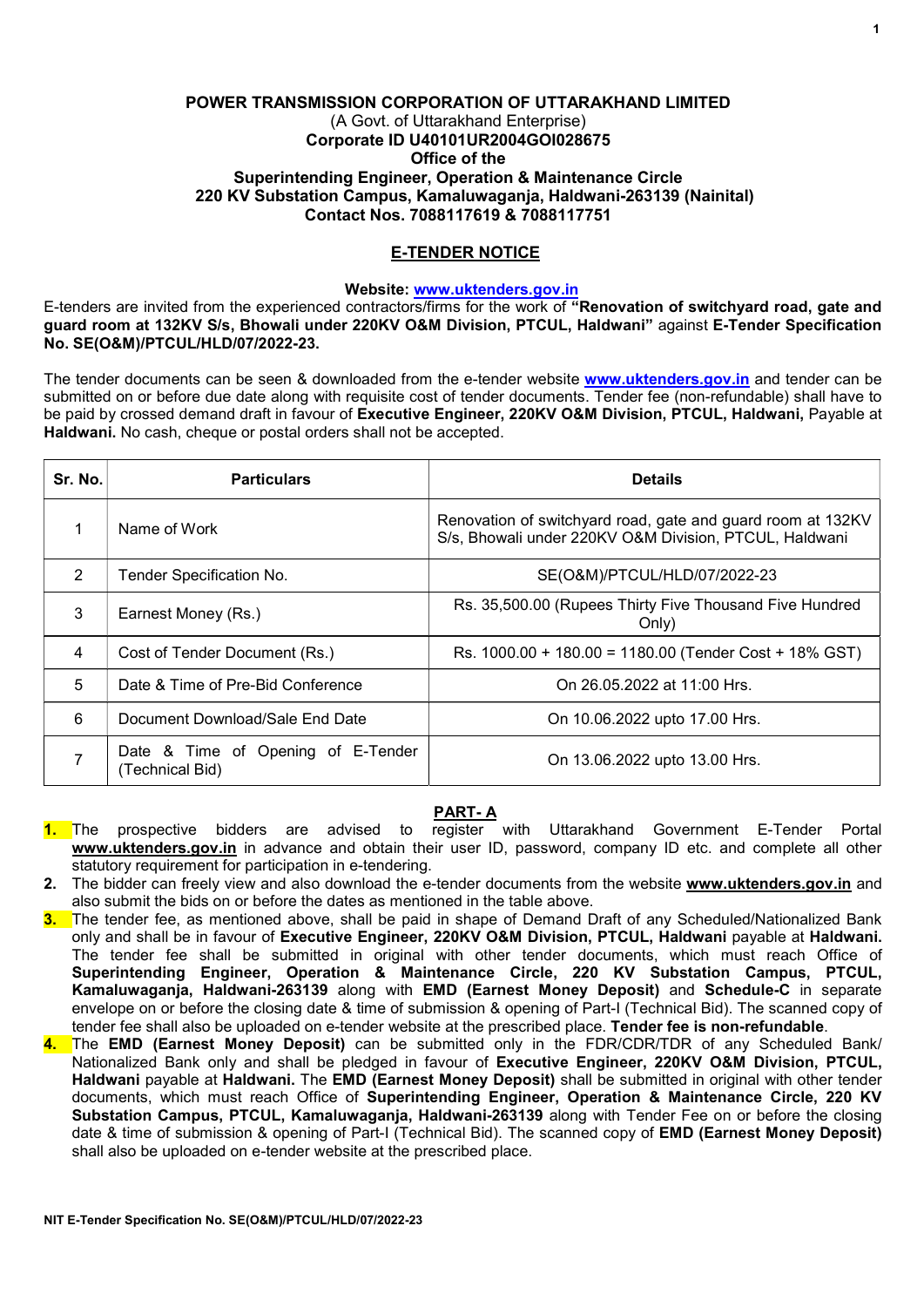# POWER TRANSMISSION CORPORATION OF UTTARAKHAND LIMITED (A Govt. of Uttarakhand Enterprise) Corporate ID U40101UR2004GOI028675 Office of the Superintending Engineer, Operation & Maintenance Circle 220 KV Substation Campus, Kamaluwaganja, Haldwani-263139 (Nainital) Contact Nos. 7088117619 & 7088117751

# E-TENDER NOTICE

## Website: www.uktenders.gov.in

E-tenders are invited from the experienced contractors/firms for the work of "Renovation of switchyard road, gate and guard room at 132KV S/s, Bhowali under 220KV O&M Division, PTCUL, Haldwani" against E-Tender Specification No. SE(O&M)/PTCUL/HLD/07/2022-23.

The tender documents can be seen & downloaded from the e-tender website www.uktenders.gov.in and tender can be submitted on or before due date along with requisite cost of tender documents. Tender fee (non-refundable) shall have to be paid by crossed demand draft in favour of Executive Engineer, 220KV O&M Division, PTCUL, Haldwani, Payable at Haldwani. No cash, cheque or postal orders shall not be accepted.

| Sr. No.        | <b>Particulars</b>                                    | <b>Details</b>                                                                                                        |
|----------------|-------------------------------------------------------|-----------------------------------------------------------------------------------------------------------------------|
| 1              | Name of Work                                          | Renovation of switchyard road, gate and guard room at 132KV<br>S/s, Bhowali under 220KV O&M Division, PTCUL, Haldwani |
| $\overline{2}$ | Tender Specification No.                              | SE(O&M)/PTCUL/HLD/07/2022-23                                                                                          |
| 3              | Earnest Money (Rs.)                                   | Rs. 35,500.00 (Rupees Thirty Five Thousand Five Hundred<br>Only)                                                      |
| 4              | Cost of Tender Document (Rs.)                         | Rs. 1000.00 + 180.00 = 1180.00 (Tender Cost + 18% GST)                                                                |
| 5              | Date & Time of Pre-Bid Conference                     | On 26.05.2022 at 11:00 Hrs.                                                                                           |
| 6              | Document Download/Sale End Date                       | On 10.06.2022 upto 17.00 Hrs.                                                                                         |
|                | Date & Time of Opening of E-Tender<br>(Technical Bid) | On 13.06.2022 upto 13.00 Hrs.                                                                                         |

# PART- A

- 1. The prospective bidders are advised to register with Uttarakhand Government E-Tender Portal www.uktenders.gov.in in advance and obtain their user ID, password, company ID etc. and complete all other statutory requirement for participation in e-tendering.
- 2. The bidder can freely view and also download the e-tender documents from the website www.uktenders.gov.in and also submit the bids on or before the dates as mentioned in the table above.
- 3. The tender fee, as mentioned above, shall be paid in shape of Demand Draft of any Scheduled/Nationalized Bank only and shall be in favour of Executive Engineer, 220KV O&M Division, PTCUL, Haldwani payable at Haldwani. The tender fee shall be submitted in original with other tender documents, which must reach Office of Superintending Engineer, Operation & Maintenance Circle, 220 KV Substation Campus, PTCUL, Kamaluwaganja, Haldwani-263139 along with EMD (Earnest Money Deposit) and Schedule-C in separate envelope on or before the closing date & time of submission & opening of Part-I (Technical Bid). The scanned copy of tender fee shall also be uploaded on e-tender website at the prescribed place. Tender fee is non-refundable.
- 4. The EMD (Earnest Money Deposit) can be submitted only in the FDR/CDR/TDR of any Scheduled Bank/ Nationalized Bank only and shall be pledged in favour of Executive Engineer, 220KV O&M Division, PTCUL, Haldwani payable at Haldwani. The EMD (Earnest Money Deposit) shall be submitted in original with other tender documents, which must reach Office of Superintending Engineer, Operation & Maintenance Circle, 220 KV Substation Campus, PTCUL, Kamaluwagania, Haldwani-263139 along with Tender Fee on or before the closing date & time of submission & opening of Part-I (Technical Bid). The scanned copy of EMD (Earnest Money Deposit) shall also be uploaded on e-tender website at the prescribed place.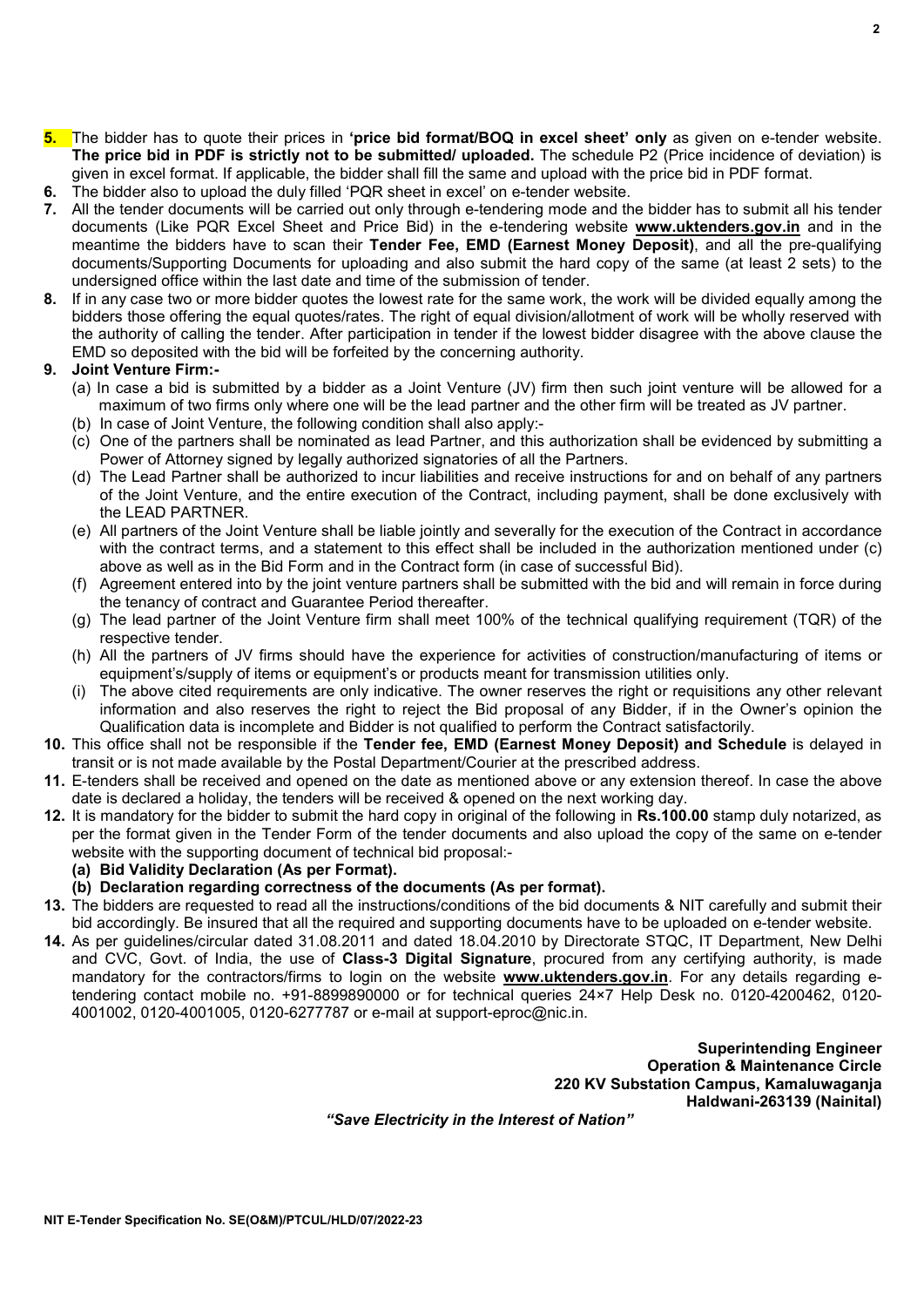$\overline{2}$ 

the authority of calling the tender. After participation in tender if the lowest bidder disagree with the above clause the EMD so deposited with the bid will be forfeited by the concerning authority.

#### 9. Joint Venture Firm:-

(a) In case a bid is submitted by a bidder as a Joint Venture (JV) firm then such joint venture will be allowed for a maximum of two firms only where one will be the lead partner and the other firm will be treated as JV partner.

5. The bidder has to quote their prices in 'price bid format/BOQ in excel sheet' only as given on e-tender website. The price bid in PDF is strictly not to be submitted/ uploaded. The schedule P2 (Price incidence of deviation) is

7. All the tender documents will be carried out only through e-tendering mode and the bidder has to submit all his tender documents (Like PQR Excel Sheet and Price Bid) in the e-tendering website **www.uktenders.gov.in** and in the meantime the bidders have to scan their Tender Fee, EMD (Earnest Money Deposit), and all the pre-qualifying documents/Supporting Documents for uploading and also submit the hard copy of the same (at least 2 sets) to the

8. If in any case two or more bidder quotes the lowest rate for the same work, the work will be divided equally among the bidders those offering the equal quotes/rates. The right of equal division/allotment of work will be wholly reserved with

given in excel format. If applicable, the bidder shall fill the same and upload with the price bid in PDF format.

(b) In case of Joint Venture, the following condition shall also apply:-

6. The bidder also to upload the duly filled 'PQR sheet in excel' on e-tender website.

undersigned office within the last date and time of the submission of tender.

- (c) One of the partners shall be nominated as lead Partner, and this authorization shall be evidenced by submitting a Power of Attorney signed by legally authorized signatories of all the Partners.
- (d) The Lead Partner shall be authorized to incur liabilities and receive instructions for and on behalf of any partners of the Joint Venture, and the entire execution of the Contract, including payment, shall be done exclusively with the LEAD PARTNER.
- (e) All partners of the Joint Venture shall be liable jointly and severally for the execution of the Contract in accordance with the contract terms, and a statement to this effect shall be included in the authorization mentioned under (c) above as well as in the Bid Form and in the Contract form (in case of successful Bid).
- (f) Agreement entered into by the joint venture partners shall be submitted with the bid and will remain in force during the tenancy of contract and Guarantee Period thereafter.
- (g) The lead partner of the Joint Venture firm shall meet 100% of the technical qualifying requirement (TQR) of the respective tender.
- (h) All the partners of JV firms should have the experience for activities of construction/manufacturing of items or equipment's/supply of items or equipment's or products meant for transmission utilities only.
- (i) The above cited requirements are only indicative. The owner reserves the right or requisitions any other relevant information and also reserves the right to reject the Bid proposal of any Bidder, if in the Owner's opinion the Qualification data is incomplete and Bidder is not qualified to perform the Contract satisfactorily.
- 10. This office shall not be responsible if the Tender fee, EMD (Earnest Money Deposit) and Schedule is delayed in transit or is not made available by the Postal Department/Courier at the prescribed address.
- 11. E-tenders shall be received and opened on the date as mentioned above or any extension thereof. In case the above date is declared a holiday, the tenders will be received & opened on the next working day.
- 12. It is mandatory for the bidder to submit the hard copy in original of the following in Rs.100.00 stamp duly notarized, as per the format given in the Tender Form of the tender documents and also upload the copy of the same on e-tender website with the supporting document of technical bid proposal:-
	- (a) Bid Validity Declaration (As per Format).
	- (b) Declaration regarding correctness of the documents (As per format).
- 13. The bidders are requested to read all the instructions/conditions of the bid documents & NIT carefully and submit their bid accordingly. Be insured that all the required and supporting documents have to be uploaded on e-tender website.
- 14. As per guidelines/circular dated 31.08.2011 and dated 18.04.2010 by Directorate STQC, IT Department, New Delhi and CVC, Govt. of India, the use of Class-3 Digital Signature, procured from any certifying authority, is made mandatory for the contractors/firms to login on the website www.uktenders.gov.in. For any details regarding etendering contact mobile no. +91-8899890000 or for technical queries 24×7 Help Desk no. 0120-4200462, 0120- 4001002, 0120-4001005, 0120-6277787 or e-mail at support-eproc@nic.in.

Superintending Engineer Operation & Maintenance Circle 220 KV Substation Campus, Kamaluwaganja Haldwani-263139 (Nainital)

"Save Electricity in the Interest of Nation"